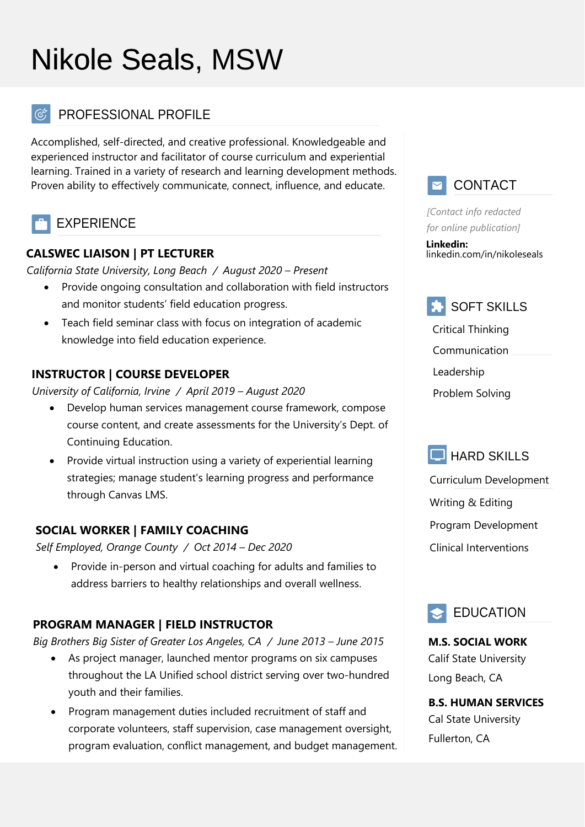# Nikole Seals, MSW

# PROFESSIONAL PROFILE

Accomplished, self-directed, and creative professional. Knowledgeable and experienced instructor and facilitator of course curriculum and experiential learning. Trained in a variety of research and learning development methods. Proven ability to effectively communicate, connect, influence, and educate.

# EXPERIENCE

#### **CALSWEC LIAISON | PT LECTURER**

*California State University, Long Beach / August 2020 – Present*

- Provide ongoing consultation and collaboration with field instructors and monitor students' field education progress.
- Teach field seminar class with focus on integration of academic knowledge into field education experience.

#### **INSTRUCTOR | COURSE DEVELOPER**

*University of California, Irvine / April 2019 – August 2020*

- Develop human services management course framework, compose course content, and create assessments for the University's Dept. of Continuing Education.
- Provide virtual instruction using a variety of experiential learning strategies; manage student's learning progress and performance through Canvas LMS.

#### **SOCIAL WORKER | FAMILY COACHING**

*Self Employed, Orange County / Oct 2014 – Dec 2020*

• Provide in-person and virtual coaching for adults and families to address barriers to healthy relationships and overall wellness.

## **PROGRAM MANAGER | FIELD INSTRUCTOR**

*Big Brothers Big Sister of Greater Los Angeles, CA / June 2013 – June 2015*

- As project manager, launched mentor programs on six campuses throughout the LA Unified school district serving over two-hundred youth and their families.
- Program management duties included recruitment of staff and corporate volunteers, staff supervision, case management oversight, program evaluation, conflict management, and budget management.



*[Contact info redacted for online publication]*

**Linkedin:**  linkedin.com/in/nikoleseals



Critical Thinking Communication Leadership Problem Solving



Curriculum Development Writing & Editing Program Development Clinical Interventions



**M.S. SOCIAL WORK** Calif State University Long Beach, CA

**B.S. HUMAN SERVICES** Cal State University Fullerton, CA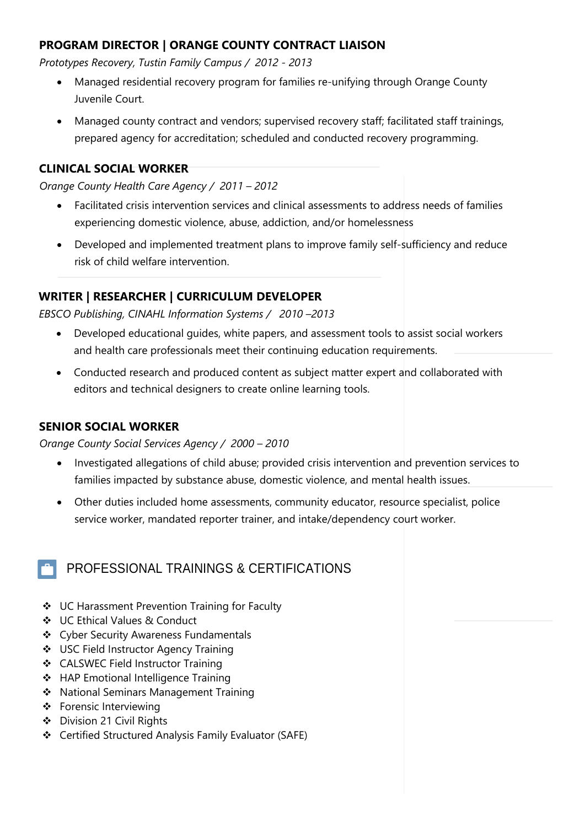#### **PROGRAM DIRECTOR | ORANGE COUNTY CONTRACT LIAISON**

*Prototypes Recovery, Tustin Family Campus / 2012 - 2013*

- Managed residential recovery program for families re-unifying through Orange County Juvenile Court.
- Managed county contract and vendors; supervised recovery staff; facilitated staff trainings, prepared agency for accreditation; scheduled and conducted recovery programming.

#### **CLINICAL SOCIAL WORKER**

*Orange County Health Care Agency / 2011 – 2012*

- Facilitated crisis intervention services and clinical assessments to address needs of families experiencing domestic violence, abuse, addiction, and/or homelessness
- Developed and implemented treatment plans to improve family self-sufficiency and reduce risk of child welfare intervention.

#### **WRITER | RESEARCHER | CURRICULUM DEVELOPER**

*EBSCO Publishing, CINAHL Information Systems / 2010 –2013*

- Developed educational guides, white papers, and assessment tools to assist social workers and health care professionals meet their continuing education requirements.
- Conducted research and produced content as subject matter expert and collaborated with editors and technical designers to create online learning tools.

#### **SENIOR SOCIAL WORKER**

*Orange County Social Services Agency / 2000 – 2010*

- Investigated allegations of child abuse; provided crisis intervention and prevention services to families impacted by substance abuse, domestic violence, and mental health issues.
- Other duties included home assessments, community educator, resource specialist, police service worker, mandated reporter trainer, and intake/dependency court worker.

## PROFESSIONAL TRAININGS & CERTIFICATIONS

- ❖ UC Harassment Prevention Training for Faculty
- ❖ UC Ethical Values & Conduct
- ❖ Cyber Security Awareness Fundamentals
- ❖ USC Field Instructor Agency Training
- ❖ CALSWEC Field Instructor Training
- ❖ HAP Emotional Intelligence Training
- ❖ National Seminars Management Training
- ❖ Forensic Interviewing
- ❖ Division 21 Civil Rights
- ❖ Certified Structured Analysis Family Evaluator (SAFE)